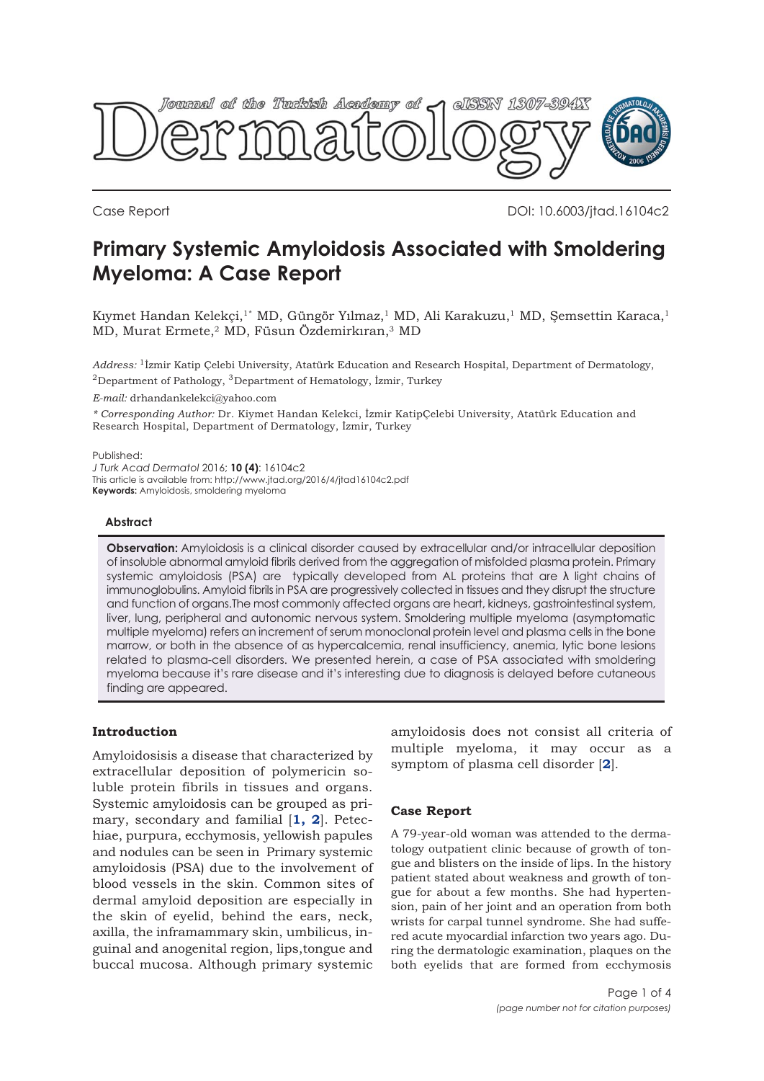

Case Report DOI: 10.6003/jtad.16104c2

# **Primary Systemic Amyloidosis Associated with Smoldering Myeloma: A Case Report**

Kıymet Handan Kelekçi,<sup>1\*</sup> MD, Güngör Yılmaz,<sup>1</sup> MD, Ali Karakuzu,<sup>1</sup> MD, Şemsettin Karaca,<sup>1</sup> MD, Murat Ermete,2 MD, Füsun Özdemirkıran,3 MD

*Address:* 1İzmir Katip Çelebi University, Atatürk Education and Research Hospital, Department of Dermatology, <sup>2</sup>Department of Pathology, <sup>3</sup>Department of Hematology, İzmir, Turkey

*E-mail:* drhandankelekci@yahoo.com

*\* Corresponding Author:* Dr. Kiymet Handan Kelekci, İzmir KatipÇelebi University, Atatürk Education and Research Hospital, Department of Dermatology, İzmir, Turkey

Published:

*J Turk Acad Dermatol* 2016; **10 (4)**: 16104c2 This article is available from: http://www.jtad.org/2016/4/jtad16104c2.pdf

**Keywords:** Amyloidosis, smoldering myeloma

### **Abstract**

**Observation:** Amyloidosis is a clinical disorder caused by extracellular and/or intracellular deposition of insoluble abnormal amyloid fibrils derived from the aggregation of misfolded plasma protein. Primary systemic amyloidosis (PSA) are typically developed from AL proteins that are λ light chains of immunoglobulins. Amyloid fibrils in PSA are progressively collected in tissues and they disrupt the structure and function of organs.The most commonly affected organs are heart, kidneys, gastrointestinal system, liver, lung, peripheral and autonomic nervous system. Smoldering multiple myeloma (asymptomatic multiple myeloma) refers an increment of serum monoclonal protein level and plasma cells in the bone marrow, or both in the absence of as hypercalcemia, renal insufficiency, anemia, lytic bone lesions related to plasma-cell disorders. We presented herein, a case of PSA associated with smoldering myeloma because it's rare disease and it's interesting due to diagnosis is delayed before cutaneous finding are appeared.

# **Introduction**

Amyloidosisis a disease that characterized by extracellular deposition of polymericin soluble protein fibrils in tissues and organs. Systemic amyloidosis can be grouped as primary, secondary and familial [**[1,](#page-3-0) [2](#page-3-0)**]. Petechiae, purpura, ecchymosis, yellowish papules and nodules can be seen in Primary systemic amyloidosis (PSA) due to the involvement of blood vessels in the skin. Common sites of dermal amyloid deposition are especially in the skin of eyelid, behind the ears, neck, axilla, the inframammary skin, umbilicus, inguinal and anogenital region, lips,tongue and buccal mucosa. Although primary systemic amyloidosis does not consist all criteria of multiple myeloma, it may occur as a symptom of plasma cell disorder [**[2](#page-3-0)**].

# **Case Report**

A 79-year-old woman was attended to the dermatology outpatient clinic because of growth of tongue and blisters on the inside of lips. In the history patient stated about weakness and growth of tongue for about a few months. She had hypertension, pain of her joint and an operation from both wrists for carpal tunnel syndrome. She had suffered acute myocardial infarction two years ago. During the dermatologic examination, plaques on the both eyelids that are formed from ecchymosis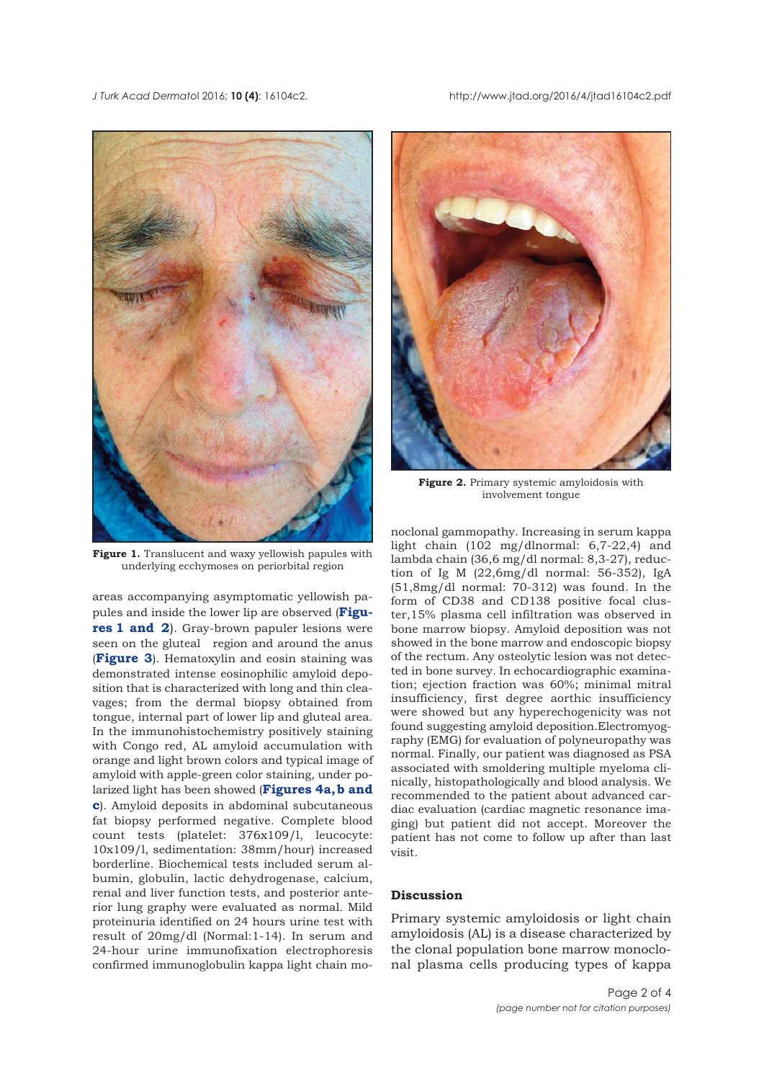

Figure 1. Translucent and waxy yellowish papules with underlying ecchymoses on periorbital region

areas accompanying asymptomatic yellowish papules and inside the lower lip are observed (**Figures 1 and 2**). Gray-brown papuler lesions were seen on the gluteal region and around the anus (**[Figure 3](#page-2-0)**). Hematoxylin and eosin staining was demonstrated intense eosinophilic amyloid deposition that is characterized with long and thin cleavages; from the dermal biopsy obtained from tongue, internal part of lower lip and gluteal area. In the immunohistochemistry positively staining with Congo red, AL amyloid accumulation with orange and light brown colors and typical image of amyloid with apple-green color staining, under polarized light has been showed (**Figures 4a, b and c**[\). Amyloid deposits in abdominal subcutaneous](#page-2-0) fat biopsy performed negative. Complete blood count tests (platelet: 376x109/l, leucocyte: 10x109/l, sedimentation: 38mm/hour) increased borderline. Biochemical tests included serum albumin, globulin, lactic dehydrogenase, calcium, renal and liver function tests, and posterior anterior lung graphy were evaluated as normal. Mild proteinuria identified on 24 hours urine test with result of 20mg/dl (Normal:1-14). In serum and 24-hour urine immunofixation electrophoresis confirmed immunoglobulin kappa light chain mo-



**Figure 2.** Primary systemic amyloidosis with involvement tongue

noclonal gammopathy. Increasing in serum kappa light chain (102 mg/dlnormal: 6,7-22,4) and lambda chain (36,6 mg/dl normal: 8,3-27), reduction of Ig M (22,6mg/dl normal: 56-352), IgA (51,8mg/dl normal: 70-312) was found. In the form of CD38 and CD138 positive focal cluster,15% plasma cell infiltration was observed in bone marrow biopsy. Amyloid deposition was not showed in the bone marrow and endoscopic biopsy of the rectum. Any osteolytic lesion was not detected in bone survey. In echocardiographic examination; ejection fraction was 60%; minimal mitral insufficiency, first degree aorthic insufficiency were showed but any hyperechogenicity was not found suggesting amyloid deposition.Electromyography (EMG) for evaluation of polyneuropathy was normal. Finally, our patient was diagnosed as PSA associated with smoldering multiple myeloma clinically, histopathologically and blood analysis. We recommended to the patient about advanced cardiac evaluation (cardiac magnetic resonance imaging) but patient did not accept. Moreover the patient has not come to follow up after than last visit.

#### **Discussion**

Primary systemic amyloidosis or light chain amyloidosis (AL) is a disease characterized by the clonal population bone marrow monoclonal plasma cells producing types of kappa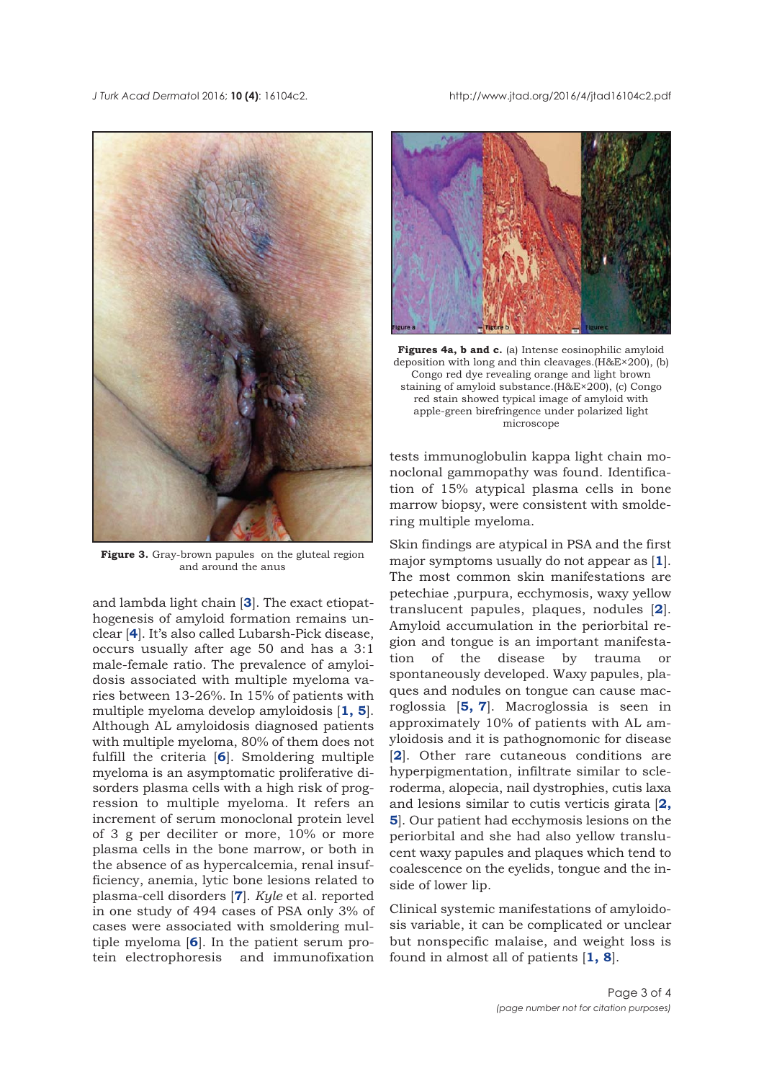<span id="page-2-0"></span>

Figure 3. Gray-brown papules on the gluteal region and around the anus

and lambda light chain [**[3](#page-3-0)**]. The exact etiopathogenesis of amyloid formation remains unclear [**[4](#page-3-0)**]. It's also called Lubarsh-Pick disease, occurs usually after age 50 and has a 3:1 male-female ratio. The prevalence of amyloidosis associated with multiple myeloma varies between 13-26%. In 15% of patients with multiple myeloma develop amyloidosis [**[1, 5](#page-3-0)**]. Although AL amyloidosis diagnosed patients with multiple myeloma, 80% of them does not fulfill the criteria [**[6](#page-3-0)**]. Smoldering multiple myeloma is an asymptomatic proliferative disorders plasma cells with a high risk of progression to multiple myeloma. It refers an increment of serum monoclonal protein level of 3 g per deciliter or more, 10% or more plasma cells in the bone marrow, or both in the absence of as hypercalcemia, renal insufficiency, anemia, lytic bone lesions related to plasma-cell disorders [**[7](#page-3-0)**]. *Kyle* et al. reported in one study of 494 cases of PSA only 3% of cases were associated with smoldering multiple myeloma [**[6](#page-3-0)**]. In the patient serum protein electrophoresis and immunofixation



**Figures 4a, b and c.** (a) Intense eosinophilic amyloid deposition with long and thin cleavages.(H&E×200), (b) Congo red dye revealing orange and light brown staining of amyloid substance.(H&E×200), (c) Congo red stain showed typical image of amyloid with apple-green birefringence under polarized light microscope

tests immunoglobulin kappa light chain monoclonal gammopathy was found. Identification of 15% atypical plasma cells in bone marrow biopsy, were consistent with smoldering multiple myeloma.

Skin findings are atypical in PSA and the first major symptoms usually do not appear as [**[1](#page-3-0)**]. The most common skin manifestations are petechiae ,purpura, ecchymosis, waxy yellow translucent papules, plaques, nodules [**[2](#page-3-0)**]. Amyloid accumulation in the periorbital region and tongue is an important manifestation of the disease by trauma or spontaneously developed. Waxy papules, plaques and nodules on tongue can cause macroglossia [**[5,](#page-3-0) [7](#page-3-0)**]. Macroglossia is seen in approximately 10% of patients with AL amyloidosis and it is pathognomonic for disease [[2](#page-3-0)]. Other rare cutaneous conditions are hyperpigmentation, infiltrate similar to scleroderma, alopecia, nail dystrophies, cutis laxa and lesions similar to cutis verticis girata [**[2,](#page-3-0) [5](#page-3-0)**]. Our patient had ecchymosis lesions on the periorbital and she had also yellow translucent waxy papules and plaques which tend to coalescence on the eyelids, tongue and the inside of lower lip.

Clinical systemic manifestations of amyloidosis variable, it can be complicated or unclear but nonspecific malaise, and weight loss is found in almost all of patients [**[1, 8](#page-3-0)**].